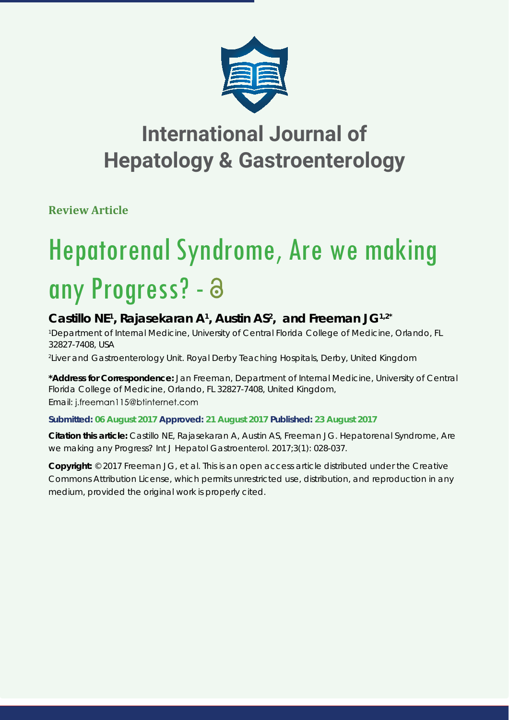

**Review Article**

# Hepatorenal Syndrome, Are we making any Progress? -

## Castillo NE<sup>1</sup>, Rajasekaran A<sup>1</sup>, Austin AS<sup>2</sup>, and Freeman JG<sup>1,2\*</sup>

*1 Department of Internal Medicine, University of Central Florida College of Medicine, Orlando, FL 32827-7408, USA*

*2 Liver and Gastroenterology Unit. Royal Derby Teaching Hospitals, Derby, United Kingdom*

**\*Address for Correspondence:** Jan Freeman, Department of Internal Medicine, University of Central Florida College of Medicine, Orlando, FL 32827-7408, United Kingdom, Email: j.freeman115@btinternet.com

### **Submitted: 06 August 2017 Approved: 21 August 2017 Published: 23 August 2017**

**Citation this article:** Castillo NE, Rajasekaran A, Austin AS, Freeman JG. Hepatorenal Syndrome, Are we making any Progress? Int J Hepatol Gastroenterol. 2017;3(1): 028-037.

**Copyright:** © 2017 Freeman JG, et al. This is an open access article distributed under the Creative Commons Attribution License, which permits unrestricted use, distribution, and reproduction in any medium, provided the original work is properly cited.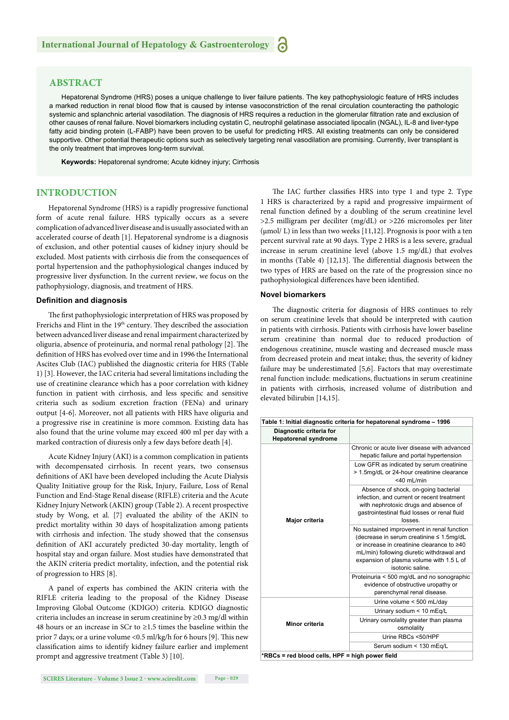#### **ABSTRACT**

Hepatorenal Syndrome (HRS) poses a unique challenge to liver failure patients. The key pathophysiologic feature of HRS includes a marked reduction in renal blood flow that is caused by intense vasoconstriction of the renal circulation counteracting the pathologic systemic and splanchnic arterial vasodilation. The diagnosis of HRS requires a reduction in the glomerular filtration rate and exclusion of other causes of renal failure. Novel biomarkers including cystatin C, neutrophil gelatinase associated lipocalin (NGAL), IL-8 and liver-type fatty acid binding protein (L-FABP) have been proven to be useful for predicting HRS. All existing treatments can only be considered supportive. Other potential therapeutic options such as selectively targeting renal vasodilation are promising. Currently, liver transplant is the only treatment that improves long-term survival.

**Keywords:** Hepatorenal syndrome; Acute kidney injury; Cirrhosis

#### **INTRODUCTION**

Hepatorenal Syndrome (HRS) is a rapidly progressive functional form of acute renal failure. HRS typically occurs as a severe complication of advanced liver disease and is usually associated with an accelerated course of death [1]. Hepatorenal syndrome is a diagnosis of exclusion, and other potential causes of kidney injury should be excluded. Most patients with cirrhosis die from the consequences of portal hypertension and the pathophysiological changes induced by progressive liver dysfunction. In the current review, we focus on the pathophysiology, diagnosis, and treatment of HRS.

#### **Definition and diagnosis**

The first pathophysiologic interpretation of HRS was proposed by Frerichs and Flint in the 19<sup>th</sup> century. They described the association between advanced liver disease and renal impairment characterized by oliguria, absence of proteinuria, and normal renal pathology [2]. The definition of HRS has evolved over time and in 1996 the International Ascites Club (IAC) published the diagnostic criteria for HRS (Table 1) [3]. However, the IAC criteria had several limitations including the use of creatinine clearance which has a poor correlation with kidney function in patient with cirrhosis, and less specific and sensitive criteria such as sodium excretion fraction (FENa) and urinary output [4-6]. Moreover, not all patients with HRS have oliguria and a progressive rise in creatinine is more common. Existing data has also found that the urine volume may exceed 400 ml per day with a marked contraction of diuresis only a few days before death [4].

Acute Kidney Injury (AKI) is a common complication in patients with decompensated cirrhosis. In recent years, two consensus definitions of AKI have been developed including the Acute Dialysis Quality Initiative group for the Risk, Injury, Failure, Loss of Renal Function and End-Stage Renal disease (RIFLE) criteria and the Acute Kidney Injury Network (AKIN) group (Table 2). A recent prospective study by Wong, et al. [7] evaluated the ability of the AKIN to predict mortality within 30 days of hospitalization among patients with cirrhosis and infection. The study showed that the consensus definition of AKI accurately predicted 30-day mortality, length of hospital stay and organ failure. Most studies have demonstrated that the AKIN criteria predict mortality, infection, and the potential risk of progression to HRS [8].

A panel of experts has combined the AKIN criteria with the RIFLE criteria leading to the proposal of the Kidney Disease Improving Global Outcome (KDIGO) criteria. KDIGO diagnostic criteria includes an increase in serum creatinine by ≥0.3 mg/dl within 48 hours or an increase in SCr to ≥1.5 times the baseline within the prior 7 days; or a urine volume <0.5 ml/kg/h for 6 hours [9]. This new classification aims to identify kidney failure earlier and implement prompt and aggressive treatment (Table 3) [10].

The IAC further classifies HRS into type 1 and type 2. Type 1 HRS is characterized by a rapid and progressive impairment of renal function defined by a doubling of the serum creatinine level >2.5 milligram per deciliter (mg/dL) or >226 micromoles per liter (μmol/ L) in less than two weeks [11,12]. Prognosis is poor with a ten percent survival rate at 90 days. Type 2 HRS is a less severe, gradual increase in serum creatinine level (above 1.5 mg/dL) that evolves in months (Table 4)  $[12,13]$ . The differential diagnosis between the two types of HRS are based on the rate of the progression since no pathophysiological differences have been identified.

#### **Novel biomarkers**

The diagnostic criteria for diagnosis of HRS continues to rely on serum creatinine levels that should be interpreted with caution in patients with cirrhosis. Patients with cirrhosis have lower baseline serum creatinine than normal due to reduced production of endogenous creatinine, muscle wasting and decreased muscle mass from decreased protein and meat intake; thus, the severity of kidney failure may be underestimated [5,6]. Factors that may overestimate renal function include: medications, fluctuations in serum creatinine in patients with cirrhosis, increased volume of distribution and elevated bilirubin [14,15].

|                                                        | Table 1: Initial diagnostic criteria for hepatorenal syndrome - 1996                                                                                                                                                                              |  |  |  |  |
|--------------------------------------------------------|---------------------------------------------------------------------------------------------------------------------------------------------------------------------------------------------------------------------------------------------------|--|--|--|--|
| Diagnostic criteria for<br><b>Hepatorenal syndrome</b> |                                                                                                                                                                                                                                                   |  |  |  |  |
|                                                        | Chronic or acute liver disease with advanced<br>hepatic failure and portal hypertension                                                                                                                                                           |  |  |  |  |
|                                                        | Low GFR as indicated by serum creatinine<br>> 1.5mg/dL or 24-hour creatinine clearance<br>$<$ 40 mL/min                                                                                                                                           |  |  |  |  |
| Major criteria                                         | Absence of shock, on-going bacterial<br>infection, and current or recent treatment<br>with nephrotoxic drugs and absence of<br>gastrointestinal fluid losses or renal fluid<br>losses.                                                            |  |  |  |  |
|                                                        | No sustained improvement in renal function<br>(decrease in serum creatinine ≤ 1.5mg/dL<br>or increase in creatinine clearance to ≥40<br>mL/min) following diuretic withdrawal and<br>expansion of plasma volume with 1.5 L of<br>isotonic saline. |  |  |  |  |
|                                                        | Proteinuria < 500 mg/dL and no sonographic<br>evidence of obstructive uropathy or<br>parenchymal renal disease.                                                                                                                                   |  |  |  |  |
|                                                        | Urine volume < 500 mL/day                                                                                                                                                                                                                         |  |  |  |  |
|                                                        | Urinary sodium < 10 mEg/L                                                                                                                                                                                                                         |  |  |  |  |
| Minor criteria                                         | Urinary osmolality greater than plasma<br>osmolality                                                                                                                                                                                              |  |  |  |  |
|                                                        | Urine RBCs <50/HPF                                                                                                                                                                                                                                |  |  |  |  |
|                                                        | Serum sodium < 130 mEg/L                                                                                                                                                                                                                          |  |  |  |  |
| *RBCs = red blood cells, HPF = high power field        |                                                                                                                                                                                                                                                   |  |  |  |  |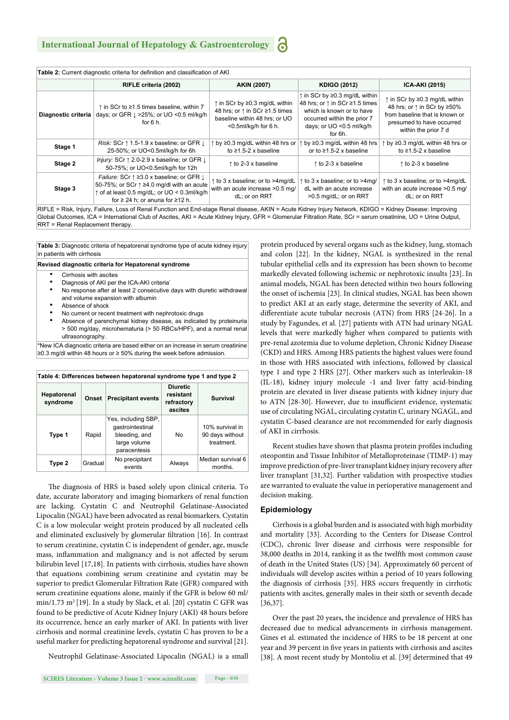| v  |
|----|
| ۰. |

|                     | RIFLE criteria (2002)                                                                                                                                                                                                   | <b>AKIN (2007)</b>                                                                                                                         | <b>KDIGO (2012)</b>                                                                                                                                                | <b>ICA-AKI (2015)</b>                                                                                                                               |
|---------------------|-------------------------------------------------------------------------------------------------------------------------------------------------------------------------------------------------------------------------|--------------------------------------------------------------------------------------------------------------------------------------------|--------------------------------------------------------------------------------------------------------------------------------------------------------------------|-----------------------------------------------------------------------------------------------------------------------------------------------------|
| Diagnostic criteria | ↑ in SCr to ≥1.5 times baseline, within 7<br>days; or GFR $\perp$ >25%; or UO <0.5 ml/kg/h<br>for $6 h$ .                                                                                                               | $\uparrow$ in SCr by $\geq$ 0.3 mg/dL within<br>48 hrs; or ↑ in SCr ≥1.5 times<br>baseline within 48 hrs; or UO<br>$<$ 0.5ml/kg/h for 6 h. | ↑ in SCr by ≥0.3 mg/dL within<br>48 hrs; or ↑ in SCr ≥1.5 times<br>which is known or to have<br>occurred within the prior 7<br>days; or UO <0.5 ml/kg/h<br>for 6h. | ↑ in SCr by ≥0.3 mg/dL within<br>48 hrs; or ↑ in SCr by ≥50%<br>from baseline that is known or<br>presumed to have occurred<br>within the prior 7 d |
| Stage 1             | <i>Risk:</i> SCr $\uparrow$ 1.5-1.9 x baseline; or GFR $\downarrow$<br>25-50%; or UO<0.5ml/kg/h for 6h                                                                                                                  | $\uparrow$ by $\geq$ 0.3 mg/dL within 48 hrs or<br>to $\geq$ 1.5-2 x baseline                                                              | ↑ by ≥0.3 mg/dL within 48 hrs<br>or to $\geq 1.5 - 2$ x baseline                                                                                                   | $\uparrow$ by $\geq$ 0.3 mg/dL within 48 hrs or<br>to $\geq$ 1.5-2 x baseline                                                                       |
| Stage 2             | Injury: SCr $\uparrow$ 2.0-2.9 x baseline; or GFR $\downarrow$<br>50-75%; or UO<0.5ml/kg/h for 12h                                                                                                                      | $\uparrow$ to 2-3 x baseline                                                                                                               | $\uparrow$ to 2-3 x baseline                                                                                                                                       | $\uparrow$ to 2-3 x baseline                                                                                                                        |
| Stage 3             | <i>Failure:</i> SCr $\uparrow$ 23.0 x baseline; or GFR $\downarrow$<br>50-75%; or SCr ↑ ≥4.0 mg/dl with an acute<br>$\uparrow$ of at least 0.5 mg/dL; or UO < 0.3ml/kg/h<br>for $\geq$ 24 h; or anuria for $\geq$ 12 h. | to 3 x baseline; or to >4mg/dL<br>with an acute increase > 0.5 mg/<br>dL; or on RRT                                                        | ↑ to 3 x baseline; or to >4mg/<br>dL with an acute increase<br>>0.5 mg/dL; or on RRT                                                                               | ↑ to 3 x baseline; or to >4mg/dL<br>with an acute increase > 0.5 mg/<br>dL; or on RRT                                                               |

Global Outcomes, ICA = International Club of Ascites, AKI = Acute Kidney Injury, GFR = Glomerular Filtration Rate, SCr = serum creatinine, UO = Urine Output, RRT = Renal Replacement therapy.

**Table 3:** Diagnostic criteria of hepatorenal syndrome type of acute kidney injury in patients with cirrhosis

#### **Revised diagnostic criteria for Hepatorenal syndrome**

- Cirrhosis with ascites
- Diagnosis of AKI per the ICA-AKI criteria<sup>\*</sup>
- No response after at least 2 consecutive days with diuretic withdrawal and volume expansion with albumin
- Absence of shock
- No current or recent treatment with nephrotoxic drugs
- Absence of parenchymal kidney disease, as indicated by proteinuria > 500 mg/day, microhematuria (> 50 RBCs/HPF), and a normal renal ultrasonography.

\*New ICA diagnostic criteria are based either on an increase in serum creatinine ≥0.3 mg/dl within 48 hours or ≥ 50% during the week before admission.

| Table 4: Differences between hepatorenal syndrome type 1 and type 2 |         |                                                                                          |                                                       |                                                  |  |  |
|---------------------------------------------------------------------|---------|------------------------------------------------------------------------------------------|-------------------------------------------------------|--------------------------------------------------|--|--|
| Hepatorenal<br>syndrome                                             | Onset   | <b>Precipitant events</b>                                                                | <b>Diuretic</b><br>resistant<br>refractory<br>ascites | <b>Survival</b>                                  |  |  |
| Type 1                                                              | Rapid   | Yes, including SBP,<br>qastrointestinal<br>bleeding, and<br>large volume<br>paracentesis | No                                                    | 10% survival in<br>90 days without<br>treatment. |  |  |
| Type 2                                                              | Gradual | No precipitant<br>events                                                                 | Always                                                | Median survival 6<br>months.                     |  |  |

The diagnosis of HRS is based solely upon clinical criteria. To date, accurate laboratory and imaging biomarkers of renal function are lacking. Cystatin C and Neutrophil Gelatinase-Associated Lipocalin (NGAL) have been advocated as renal biomarkers. Cystatin C is a low molecular weight protein produced by all nucleated cells and eliminated exclusively by glomerular filtration [16]. In contrast to serum creatinine, cystatin C is independent of gender, age, muscle mass, inflammation and malignancy and is not affected by serum bilirubin level [17,18]. In patients with cirrhosis, studies have shown that equations combining serum creatinine and cystatin may be superior to predict Glomerular Filtration Rate (GFR) compared with serum creatinine equations alone, mainly if the GFR is below 60 ml/  $min/1.73$  m<sup>2</sup> [19]. In a study by Slack, et al. [20] cystatin C GFR was found to be predictive of Acute Kidney Injury (AKI) 48 hours before its occurrence, hence an early marker of AKI. In patients with liver cirrhosis and normal creatinine levels, cystatin C has proven to be a useful marker for predicting hepatorenal syndrome and survival [21].

Neutrophil Gelatinase-Associated Lipocalin (NGAL) is a small

protein produced by several organs such as the kidney, lung, stomach and colon [22]. In the kidney, NGAL is synthesized in the renal tubular epithelial cells and its expression has been shown to become markedly elevated following ischemic or nephrotoxic insults [23]. In animal models, NGAL has been detected within two hours following the onset of ischemia [23]. In clinical studies, NGAL has been shown to predict AKI at an early stage, determine the severity of AKI, and differentiate acute tubular necrosis (ATN) from HRS [24-26]. In a study by Fagundes, et al. [27] patients with ATN had urinary NGAL levels that were markedly higher when compared to patients with pre-renal azotemia due to volume depletion, Chronic Kidney Disease (CKD) and HRS. Among HRS patients the highest values were found in those with HRS associated with infections, followed by classical type 1 and type 2 HRS [27]. Other markers such as interleukin-18 (IL-18), kidney injury molecule -1 and liver fatty acid-binding protein are elevated in liver disease patients with kidney injury due to ATN [28-30]. However, due to insufficient evidence, systematic use of circulating NGAL, circulating cystatin C, urinary NGAGL, and cystatin C-based clearance are not recommended for early diagnosis of AKI in cirrhosis.

Recent studies have shown that plasma protein profiles including oteopontin and Tissue Inhibitor of Metalloproteinase (TIMP-1) may improve prediction of pre-liver transplant kidney injury recovery after liver transplant [31,32]. Further validation with prospective studies are warranted to evaluate the value in perioperative management and decision making.

#### **Epidemiology**

Cirrhosis is a global burden and is associated with high morbidity and mortality [33]. According to the Centers for Disease Control (CDC), chronic liver disease and cirrhosis were responsible for 38,000 deaths in 2014, ranking it as the twelfth most common cause of death in the United States (US) [34]. Approximately 60 percent of individuals will develop ascites within a period of 10 years following the diagnosis of cirrhosis [35]. HRS occurs frequently in cirrhotic patients with ascites, generally males in their sixth or seventh decade [36,37].

Over the past 20 years, the incidence and prevalence of HRS has decreased due to medical advancements in cirrhosis management. Gines et al. estimated the incidence of HRS to be 18 percent at one year and 39 percent in five years in patients with cirrhosis and ascites [38]. A most recent study by Montoliu et al. [39] determined that 49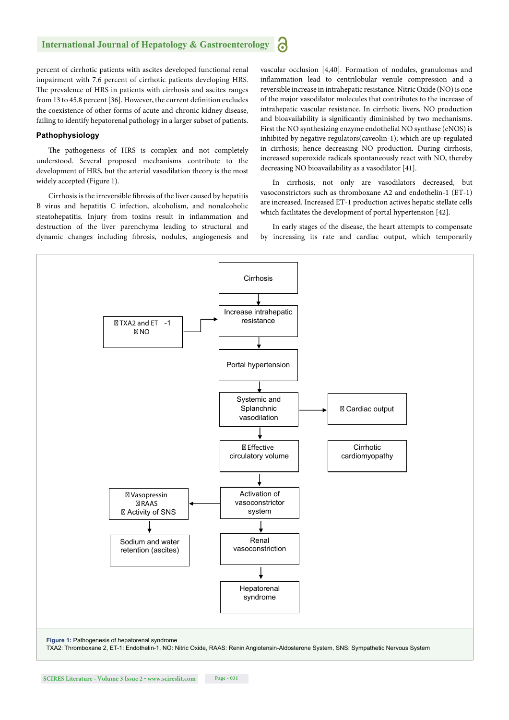percent of cirrhotic patients with ascites developed functional renal impairment with 7.6 percent of cirrhotic patients developing HRS. The prevalence of HRS in patients with cirrhosis and ascites ranges from 13 to 45.8 percent [36]. However, the current definition excludes the coexistence of other forms of acute and chronic kidney disease, failing to identify hepatorenal pathology in a larger subset of patients.

#### **Pathophysiology**

The pathogenesis of HRS is complex and not completely understood. Several proposed mechanisms contribute to the development of HRS, but the arterial vasodilation theory is the most widely accepted (Figure 1).

Cirrhosis is the irreversible fibrosis of the liver caused by hepatitis B virus and hepatitis C infection, alcoholism, and nonalcoholic steatohepatitis. Injury from toxins result in inflammation and destruction of the liver parenchyma leading to structural and dynamic changes including fibrosis, nodules, angiogenesis and vascular occlusion [4,40]. Formation of nodules, granulomas and inflammation lead to centrilobular venule compression and a reversible increase in intrahepatic resistance. Nitric Oxide (NO) is one of the major vasodilator molecules that contributes to the increase of intrahepatic vascular resistance. In cirrhotic livers, NO production and bioavailability is significantly diminished by two mechanisms. First the NO synthesizing enzyme endothelial NO synthase (eNOS) is inhibited by negative regulators(caveolin-1); which are up-regulated in cirrhosis; hence decreasing NO production. During cirrhosis, increased superoxide radicals spontaneously react with NO, thereby decreasing NO bioavailability as a vasodilator [41].

In cirrhosis, not only are vasodilators decreased, but vasoconstrictors such as thromboxane A2 and endothelin-1 (ET-1) are increased. Increased ET-1 production actives hepatic stellate cells which facilitates the development of portal hypertension [42].

In early stages of the disease, the heart attempts to compensate by increasing its rate and cardiac output, which temporarily

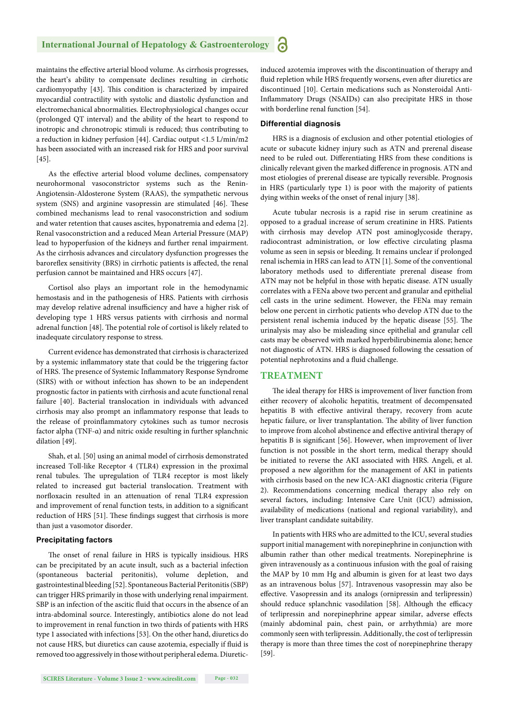maintains the effective arterial blood volume. As cirrhosis progresses, the heart's ability to compensate declines resulting in cirrhotic cardiomyopathy [43]. This condition is characterized by impaired myocardial contractility with systolic and diastolic dysfunction and electromechanical abnormalities. Electrophysiological changes occur (prolonged QT interval) and the ability of the heart to respond to inotropic and chronotropic stimuli is reduced; thus contributing to a reduction in kidney perfusion [44]. Cardiac output <1.5 L/min/m2 has been associated with an increased risk for HRS and poor survival [45].

As the effective arterial blood volume declines, compensatory neurohormonal vasoconstrictor systems such as the Renin-Angiotensin-Aldosterone System (RAAS), the sympathetic nervous system (SNS) and arginine vasopressin are stimulated [46]. These combined mechanisms lead to renal vasoconstriction and sodium and water retention that causes ascites, hyponatremia and edema [2]. Renal vasoconstriction and a reduced Mean Arterial Pressure (MAP) lead to hypoperfusion of the kidneys and further renal impairment. As the cirrhosis advances and circulatory dysfunction progresses the baroreflex sensitivity (BRS) in cirrhotic patients is affected, the renal perfusion cannot be maintained and HRS occurs [47].

Cortisol also plays an important role in the hemodynamic hemostasis and in the pathogenesis of HRS. Patients with cirrhosis may develop relative adrenal insufficiency and have a higher risk of developing type 1 HRS versus patients with cirrhosis and normal adrenal function [48]. The potential role of cortisol is likely related to inadequate circulatory response to stress.

Current evidence has demonstrated that cirrhosis is characterized by a systemic inflammatory state that could be the triggering factor of HRS. The presence of Systemic Inflammatory Response Syndrome (SIRS) with or without infection has shown to be an independent prognostic factor in patients with cirrhosis and acute functional renal failure [40]. Bacterial translocation in individuals with advanced cirrhosis may also prompt an inflammatory response that leads to the release of proinflammatory cytokines such as tumor necrosis factor alpha (TNF-α) and nitric oxide resulting in further splanchnic dilation [49].

Shah, et al. [50] using an animal model of cirrhosis demonstrated increased Toll-like Receptor 4 (TLR4) expression in the proximal renal tubules. The upregulation of TLR4 receptor is most likely related to increased gut bacterial translocation. Treatment with norfloxacin resulted in an attenuation of renal TLR4 expression and improvement of renal function tests, in addition to a significant reduction of HRS [51]. These findings suggest that cirrhosis is more than just a vasomotor disorder.

#### **Precipitating factors**

The onset of renal failure in HRS is typically insidious. HRS can be precipitated by an acute insult, such as a bacterial infection (spontaneous bacterial peritonitis), volume depletion, and gastrointestinal bleeding [52]. Spontaneous Bacterial Peritonitis (SBP) can trigger HRS primarily in those with underlying renal impairment. SBP is an infection of the ascitic fluid that occurs in the absence of an intra-abdominal source. Interestingly, antibiotics alone do not lead to improvement in renal function in two thirds of patients with HRS type 1 associated with infections [53]. On the other hand, diuretics do not cause HRS, but diuretics can cause azotemia, especially if fluid is removed too aggressively in those without peripheral edema. Diureticinduced azotemia improves with the discontinuation of therapy and fluid repletion while HRS frequently worsens, even after diuretics are discontinued [10]. Certain medications such as Nonsteroidal Anti-Inflammatory Drugs (NSAIDs) can also precipitate HRS in those with borderline renal function [54].

#### **Differential diagnosis**

HRS is a diagnosis of exclusion and other potential etiologies of acute or subacute kidney injury such as ATN and prerenal disease need to be ruled out. Differentiating HRS from these conditions is clinically relevant given the marked difference in prognosis. ATN and most etiologies of prerenal disease are typically reversible. Prognosis in HRS (particularly type 1) is poor with the majority of patients dying within weeks of the onset of renal injury [38].

Acute tubular necrosis is a rapid rise in serum creatinine as opposed to a gradual increase of serum creatinine in HRS. Patients with cirrhosis may develop ATN post aminoglycoside therapy, radiocontrast administration, or low effective circulating plasma volume as seen in sepsis or bleeding. It remains unclear if prolonged renal ischemia in HRS can lead to ATN [1]. Some of the conventional laboratory methods used to differentiate prerenal disease from ATN may not be helpful in those with hepatic disease. ATN usually correlates with a FENa above two percent and granular and epithelial cell casts in the urine sediment. However, the FENa may remain below one percent in cirrhotic patients who develop ATN due to the persistent renal ischemia induced by the hepatic disease [55]. The urinalysis may also be misleading since epithelial and granular cell casts may be observed with marked hyperbilirubinemia alone; hence not diagnostic of ATN. HRS is diagnosed following the cessation of potential nephrotoxins and a fluid challenge.

#### **TREATMENT**

The ideal therapy for HRS is improvement of liver function from either recovery of alcoholic hepatitis, treatment of decompensated hepatitis B with effective antiviral therapy, recovery from acute hepatic failure, or liver transplantation. The ability of liver function to improve from alcohol abstinence and effective antiviral therapy of hepatitis B is significant [56]. However, when improvement of liver function is not possible in the short term, medical therapy should be initiated to reverse the AKI associated with HRS. Angeli, et al. proposed a new algorithm for the management of AKI in patients with cirrhosis based on the new ICA-AKI diagnostic criteria (Figure 2). Recommendations concerning medical therapy also rely on several factors, including: Intensive Care Unit (ICU) admission, availability of medications (national and regional variability), and liver transplant candidate suitability.

In patients with HRS who are admitted to the ICU, several studies support initial management with norepinephrine in conjunction with albumin rather than other medical treatments. Norepinephrine is given intravenously as a continuous infusion with the goal of raising the MAP by 10 mm Hg and albumin is given for at least two days as an intravenous bolus [57]. Intravenous vasopressin may also be effective. Vasopressin and its analogs (ornipressin and terlipressin) should reduce splanchnic vasodilation [58]. Although the efficacy of terlipressin and norepinephrine appear similar, adverse effects (mainly abdominal pain, chest pain, or arrhythmia) are more commonly seen with terlipressin. Additionally, the cost of terlipressin therapy is more than three times the cost of norepinephrine therapy [59].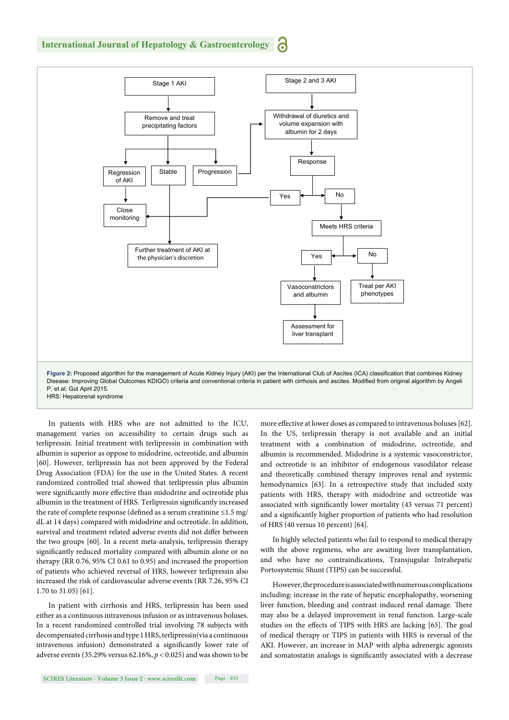

In patients with HRS who are not admitted to the ICU, management varies on accessibility to certain drugs such as terlipressin. Initial treatment with terlipressin in combination with albumin is superior as oppose to midodrine, octreotide, and albumin [60]. However, terlipressin has not been approved by the Federal Drug Association (FDA) for the use in the United States. A recent randomized controlled trial showed that terlipressin plus albumin were significantly more effective than midodrine and octreotide plus albumin in the treatment of HRS. Terlipressin significantly increased the rate of complete response (defined as a serum creatinine  $\leq$ 1.5 mg/ dL at 14 days) compared with midodrine and octreotide. In addition, survival and treatment related adverse events did not differ between the two groups [60]. In a recent meta-analysis, terlipressin therapy significantly reduced mortality compared with albumin alone or no therapy (RR 0.76, 95% CI 0.61 to 0.95) and increased the proportion of patients who achieved reversal of HRS, however terlipressin also increased the risk of cardiovascular adverse events (RR 7.26, 95% CI 1.70 to 31.05) [61].

In patient with cirrhosis and HRS, terlipressin has been used either as a continuous intravenous infusion or as intravenous boluses. In a recent randomized controlled trial involving 78 subjects with decompensated cirrhosis and type 1 HRS, terlipressin(via a continuous intravenous infusion) demonstrated a significantly lower rate of adverse events (35.29% versus 62.16%, *p* < 0.025) and was shown to be

more effective at lower doses as compared to intravenous boluses [62]. In the US, terlipressin therapy is not available and an initial treatment with a combination of midodrine, octreotide, and albumin is recommended. Midodrine is a systemic vasoconstrictor, and octreotide is an inhibitor of endogenous vasodilator release and theoretically combined therapy improves renal and systemic hemodynamics [63]. In a retrospective study that included sixty patients with HRS, therapy with midodrine and octreotide was associated with significantly lower mortality (43 versus 71 percent) and a significantly higher proportion of patients who had resolution of HRS (40 versus 10 percent) [64].

In highly selected patients who fail to respond to medical therapy with the above regimens, who are awaiting liver transplantation, and who have no contraindications, Transjugular Intrahepatic Portosystemic Shunt (TIPS) can be successful.

However, the procedure is associated with numerous complications including: increase in the rate of hepatic encephalopathy, worsening liver function, bleeding and contrast induced renal damage. There may also be a delayed improvement in renal function. Large-scale studies on the effects of TIPS with HRS are lacking [65]. The goal of medical therapy or TIPS in patients with HRS is reversal of the AKI. However, an increase in MAP with alpha adrenergic agonists and somatostatin analogs is significantly associated with a decrease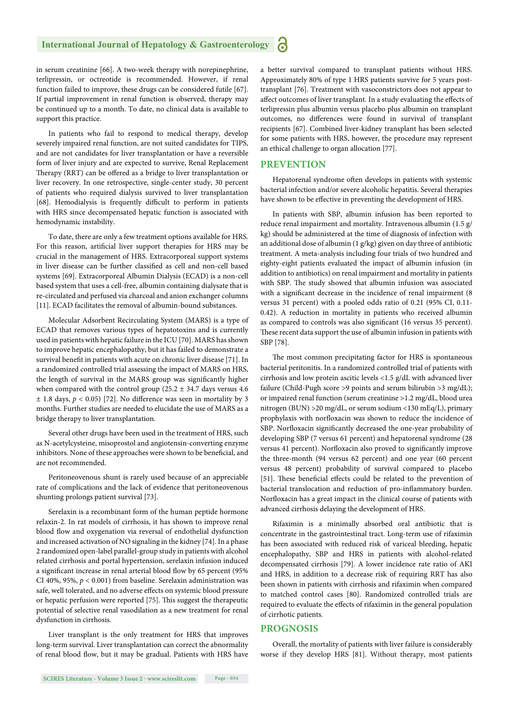in serum creatinine [66]. A two-week therapy with norepinephrine, terlipressin, or octreotide is recommended. However, if renal function failed to improve, these drugs can be considered futile [67]. If partial improvement in renal function is observed, therapy may be continued up to a month. To date, no clinical data is available to support this practice.

In patients who fail to respond to medical therapy, develop severely impaired renal function, are not suited candidates for TIPS, and are not candidates for liver transplantation or have a reversible form of liver injury and are expected to survive, Renal Replacement Therapy (RRT) can be offered as a bridge to liver transplantation or liver recovery. In one retrospective, single-center study, 30 percent of patients who required dialysis survived to liver transplantation [68]. Hemodialysis is frequently difficult to perform in patients with HRS since decompensated hepatic function is associated with hemodynamic instability.

To date, there are only a few treatment options available for HRS. For this reason, artificial liver support therapies for HRS may be crucial in the management of HRS. Extracorporeal support systems in liver disease can be further classified as cell and non-cell based systems [69]. Extracorporeal Albumin Dialysis (ECAD) is a non-cell based system that uses a cell-free, albumin containing dialysate that is re-circulated and perfused via charcoal and anion exchanger columns [11]. ECAD facilitates the removal of albumin-bound substances.

Molecular Adsorbent Recirculating System (MARS) is a type of ECAD that removes various types of hepatotoxins and is currently used in patients with hepatic failure in the ICU [70]. MARS has shown to improve hepatic encephalopathy, but it has failed to demonstrate a survival benefit in patients with acute on chronic liver disease [71]. In a randomized controlled trial assessing the impact of MARS on HRS, the length of survival in the MARS group was significantly higher when compared with the control group ( $25.2 \pm 34.7$  days versus 4.6  $\pm$  1.8 days,  $p < 0.05$ ) [72]. No difference was seen in mortality by 3 months. Further studies are needed to elucidate the use of MARS as a bridge therapy to liver transplantation.

Several other drugs have been used in the treatment of HRS, such as N-acetylcysteine, misoprostol and angiotensin-converting enzyme inhibitors. None of these approaches were shown to be beneficial, and are not recommended.

Peritoneovenous shunt is rarely used because of an appreciable rate of complications and the lack of evidence that peritoneovenous shunting prolongs patient survival [73].

Serelaxin is a recombinant form of the human peptide hormone relaxin-2. In rat models of cirrhosis, it has shown to improve renal blood flow and oxygenation via reversal of endothelial dysfunction and increased activation of NO signaling in the kidney [74]. In a phase 2 randomized open-label parallel-group study in patients with alcohol related cirrhosis and portal hypertension, serelaxin infusion induced a significant increase in renal arterial blood flow by 65 percent (95%) CI 40%, 95%, *p* < 0.001) from baseline. Serelaxin administration was safe, well tolerated, and no adverse effects on systemic blood pressure or hepatic perfusion were reported [75]. This suggest the therapeutic potential of selective renal vasodilation as a new treatment for renal dysfunction in cirrhosis.

Liver transplant is the only treatment for HRS that improves long-term survival. Liver transplantation can correct the abnormality of renal blood flow, but it may be gradual. Patients with HRS have a better survival compared to transplant patients without HRS. Approximately 80% of type 1 HRS patients survive for 5 years posttransplant [76]. Treatment with vasoconstrictors does not appear to affect outcomes of liver transplant. In a study evaluating the effects of terlipressin plus albumin versus placebo plus albumin on transplant outcomes, no differences were found in survival of transplant recipients [67]. Combined liver-kidney transplant has been selected for some patients with HRS, however, the procedure may represent an ethical challenge to organ allocation [77].

#### **PREVENTION**

Hepatorenal syndrome often develops in patients with systemic bacterial infection and/or severe alcoholic hepatitis. Several therapies have shown to be effective in preventing the development of HRS.

In patients with SBP, albumin infusion has been reported to reduce renal impairment and mortality. Intravenous albumin (1.5 g/ kg) should be administered at the time of diagnosis of infection with an additional dose of albumin (1 g/kg) given on day three of antibiotic treatment. A meta-analysis including four trials of two hundred and eighty-eight patients evaluated the impact of albumin infusion (in addition to antibiotics) on renal impairment and mortality in patients with SBP. The study showed that albumin infusion was associated with a significant decrease in the incidence of renal impairment (8) versus 31 percent) with a pooled odds ratio of 0.21 (95% CI, 0.11- 0.42). A reduction in mortality in patients who received albumin as compared to controls was also significant (16 versus 35 percent). These recent data support the use of albumin infusion in patients with SBP [78].

The most common precipitating factor for HRS is spontaneous bacterial peritonitis. In a randomized controlled trial of patients with cirrhosis and low protein ascitic levels <1.5 g/dL with advanced liver failure (Child-Pugh score >9 points and serum bilirubin >3 mg/dL); or impaired renal function (serum creatinine >1.2 mg/dL, blood urea nitrogen (BUN) >20 mg/dL, or serum sodium <130 mEq/L), primary prophylaxis with norfloxacin was shown to reduce the incidence of SBP. Norfloxacin significantly decreased the one-year probability of developing SBP (7 versus 61 percent) and hepatorenal syndrome (28 versus 41 percent). Norfloxacin also proved to significantly improve the three-month (94 versus 62 percent) and one year (60 percent versus 48 percent) probability of survival compared to placebo [51]. These beneficial effects could be related to the prevention of bacterial translocation and reduction of pro-inflammatory burden. Norfloxacin has a great impact in the clinical course of patients with advanced cirrhosis delaying the development of HRS.

Rifaximin is a minimally absorbed oral antibiotic that is concentrate in the gastrointestinal tract. Long-term use of rifaximin has been associated with reduced risk of variceal bleeding, hepatic encephalopathy, SBP and HRS in patients with alcohol-related decompensated cirrhosis [79]. A lower incidence rate ratio of AKI and HRS, in addition to a decrease risk of requiring RRT has also been shown in patients with cirrhosis and rifaximin when compared to matched control cases [80]. Randomized controlled trials are required to evaluate the effects of rifaximin in the general population of cirrhotic patients.

#### **PROGNOSIS**

Overall, the mortality of patients with liver failure is considerably worse if they develop HRS [81]. Without therapy, most patients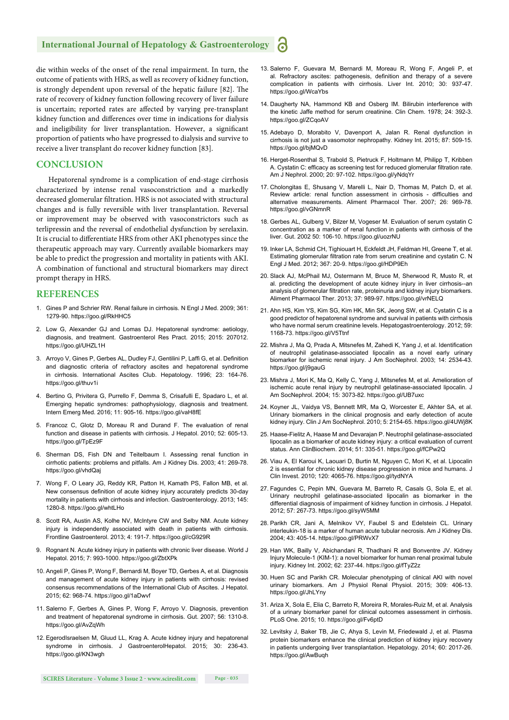die within weeks of the onset of the renal impairment. In turn, the outcome of patients with HRS, as well as recovery of kidney function, is strongly dependent upon reversal of the hepatic failure [82]. The rate of recovery of kidney function following recovery of liver failure is uncertain; reported rates are affected by varying pre-transplant kidney function and differences over time in indications for dialysis and ineligibility for liver transplantation. However, a significant proportion of patients who have progressed to dialysis and survive to receive a liver transplant do recover kidney function [83].

#### **CONCLUSION**

Hepatorenal syndrome is a complication of end-stage cirrhosis characterized by intense renal vasoconstriction and a markedly decreased glomerular filtration. HRS is not associated with structural changes and is fully reversible with liver transplantation. Reversal or improvement may be observed with vasoconstrictors such as terlipressin and the reversal of endothelial dysfunction by serelaxin. It is crucial to differentiate HRS from other AKI phenotypes since the therapeutic approach may vary. Currently available biomarkers may be able to predict the progression and mortality in patients with AKI. A combination of functional and structural biomarkers may direct prompt therapy in HRS.

#### **REFERENCES**

- 1. Gines P and Schrier RW. Renal failure in cirrhosis. N Engl J Med. 2009; 361: 1279-90. https://goo.gl/RkHHC5
- 2. Low G, Alexander GJ and Lomas DJ. Hepatorenal syndrome: aetiology, diagnosis, and treatment. Gastroenterol Res Pract. 2015; 2015: 207012. https://goo.gl/UHZL1H
- 3. Arroyo V, Gines P, Gerbes AL, Dudley FJ, Gentilini P, Laffi G, et al. Definition and diagnostic criteria of refractory ascites and hepatorenal syndrome in cirrhosis. International Ascites Club. Hepatology. 1996; 23: 164-76. https://goo.gl/thuv1i
- 4. Bertino G, Privitera G, Purrello F, Demma S, Crisafulli E, Spadaro L, et al. Emerging hepatic syndromes: pathophysiology, diagnosis and treatment. Intern Emerg Med. 2016; 11: 905-16. https://goo.gl/vaH8fE
- 5. Francoz C, Glotz D, Moreau R and Durand F. The evaluation of renal function and disease in patients with cirrhosis. J Hepatol. 2010; 52: 605-13. https://goo.gl/TpEz9F
- 6. Sherman DS, Fish DN and Teitelbaum I. Assessing renal function in cirrhotic patients: problems and pitfalls. Am J Kidney Dis. 2003; 41: 269-78. https://goo.gl/vhdQaj
- 7. Wong F, O Leary JG, Reddy KR, Patton H, Kamath PS, Fallon MB, et al. New consensus definition of acute kidney injury accurately predicts 30-day mortality in patients with cirrhosis and infection. Gastroenterology. 2013; 145: 1280-8. https://goo.gl/whtLHo
- 8. Scott RA, Austin AS, Kolhe NV, McIntyre CW and Selby NM. Acute kidney injury is independently associated with death in patients with cirrhosis. Frontline Gastroenterol. 2013; 4: 191-7. https://goo.gl/cG929R
- 9. Rognant N. Acute kidney injury in patients with chronic liver disease. World J Hepatol. 2015; 7: 993-1000. https://goo.gl/ZbtXPk
- 10. Angeli P, Gines P, Wong F, Bernardi M, Boyer TD, Gerbes A, et al. Diagnosis and management of acute kidney injury in patients with cirrhosis: revised consensus recommendations of the International Club of Ascites. J Hepatol. 2015; 62: 968-74. https://goo.gl/1aDwvf
- 11. Salerno F, Gerbes A, Gines P, Wong F, Arroyo V. Diagnosis, prevention and treatment of hepatorenal syndrome in cirrhosis. Gut. 2007; 56: 1310-8. https://goo.gl/AvZqWh
- 12. EgerodIsraelsen M, Gluud LL, Krag A. Acute kidney injury and hepatorenal syndrome in cirrhosis. J GastroenterolHepatol. 2015; 30: 236-43. https://goo.gl/KN3wgh
- 13. Salerno F, Guevara M, Bernardi M, Moreau R, Wong F, Angeli P, et al. Refractory ascites: pathogenesis, definition and therapy of a severe complication in patients with cirrhosis. Liver Int. 2010; 30: 937-47. https://goo.gl/WcaYbs
- 14. Daugherty NA, Hammond KB and Osberg IM. Bilirubin interference with the kinetic Jaffe method for serum creatinine. Clin Chem. 1978; 24: 392-3. https://goo.gl/ZCqoAV
- 15. Adebayo D, Morabito V, Davenport A, Jalan R. Renal dysfunction in cirrhosis is not just a vasomotor nephropathy. Kidney Int. 2015; 87: 509-15. https://goo.gl/bjMQvD
- 16. Herget-Rosenthal S, Trabold S, Pietruck F, Holtmann M, Philipp T, Kribben A. Cystatin C: efficacy as screening test for reduced glomerular filtration rate. Am J Nephrol. 2000; 20: 97-102. https://goo.gl/yNdqYr
- 17. Cholongitas E, Shusang V, Marelli L, Nair D, Thomas M, Patch D, et al. Review article: renal function assessment in cirrhosis - difficulties and alternative measurements. Aliment Pharmacol Ther. 2007; 26: 969-78. https://goo.gl/vGNmnR
- 18. Gerbes AL, Gulberg V, Bilzer M, Vogeser M. Evaluation of serum cystatin C concentration as a marker of renal function in patients with cirrhosis of the liver. Gut. 2002 50: 106-10. https://goo.gl/uozrNU
- 19. Inker LA, Schmid CH, Tighiouart H, Eckfeldt JH, Feldman HI, Greene T, et al. Estimating glomerular filtration rate from serum creatinine and cystatin C. N Engl J Med. 2012; 367: 20-9. https://goo.gl/HDP9Eh
- 20. Slack AJ, McPhail MJ, Ostermann M, Bruce M, Sherwood R, Musto R, et al. predicting the development of acute kidney injury in liver cirrhosis--an analysis of glomerular filtration rate, proteinuria and kidney injury biomarkers. Aliment Pharmacol Ther. 2013; 37: 989-97. https://goo.gl/vrNELQ
- 21. Ahn HS, Kim YS, Kim SG, Kim HK, Min SK, Jeong SW, et al. Cystatin C is a good predictor of hepatorenal syndrome and survival in patients with cirrhosis who have normal serum creatinine levels. Hepatogastroenterology. 2012; 59: 1168-73. https://goo.gl/V5Ttnf
- 22. Mishra J, Ma Q, Prada A, Mitsnefes M, Zahedi K, Yang J, et al. Identification of neutrophil gelatinase-associated lipocalin as a novel early urinary biomarker for ischemic renal injury. J Am SocNephrol. 2003; 14: 2534-43. https://goo.gl/j9gauG
- 23. Mishra J, Mori K, Ma Q, Kelly C, Yang J, Mitsnefes M, et al. Amelioration of ischemic acute renal injury by neutrophil gelatinase-associated lipocalin. J Am SocNephrol. 2004; 15: 3073-82. https://goo.gl/UB7uxc
- 24. Koyner JL, Vaidya VS, Bennett MR, Ma Q, Worcester E, Akhter SA, et al. Urinary biomarkers in the clinical prognosis and early detection of acute kidney injury. Clin J Am SocNephrol. 2010; 5: 2154-65. https://goo.gl/4UWj8K
- 25. Haase-Fielitz A, Haase M and Devarajan P. Neutrophil gelatinase-associated lipocalin as a biomarker of acute kidney injury: a critical evaluation of current status. Ann ClinBiochem. 2014; 51: 335-51. https://goo.gl/fCPw2Q
- 26. Viau A, El Karoui K, Laouari D, Burtin M, Nguyen C, Mori K, et al. Lipocalin 2 is essential for chronic kidney disease progression in mice and humans. J Clin Invest. 2010; 120: 4065-76. https://goo.gl/tydNYA
- 27. Fagundes C, Pepin MN, Guevara M, Barreto R, Casals G, Sola E, et al. Urinary neutrophil gelatinase-associated lipocalin as biomarker in the differential diagnosis of impairment of kidney function in cirrhosis. J Hepatol. 2012; 57: 267-73. https://goo.gl/syW5MM
- 28. Parikh CR, Jani A, Melnikov VY, Faubel S and Edelstein CL. Urinary interleukin-18 is a marker of human acute tubular necrosis. Am J Kidney Dis. 2004; 43: 405-14. https://goo.gl/PRWvX7
- 29. Han WK, Bailly V, Abichandani R, Thadhani R and Bonventre JV. Kidney Injury Molecule-1 (KIM-1): a novel biomarker for human renal proximal tubule injury. Kidney Int. 2002; 62: 237-44. https://goo.gl/fTyZ2z
- 30. Huen SC and Parikh CR. Molecular phenotyping of clinical AKI with novel urinary biomarkers. Am J Physiol Renal Physiol. 2015; 309: 406-13. https://goo.gl/JhLYny
- 31. Ariza X, Sola E, Elia C, Barreto R, Moreira R, Morales-Ruiz M, et al. Analysis of a urinary biomarker panel for clinical outcomes assessment in cirrhosis. PLoS One. 2015; 10. https://goo.gl/Fv6ptD
- 32. Levitsky J, Baker TB, Jie C, Ahya S, Levin M, Friedewald J, et al. Plasma protein biomarkers enhance the clinical prediction of kidney injury recovery in patients undergoing liver transplantation. Hepatology. 2014; 60: 2017-26. https://goo.gl/AwBuqh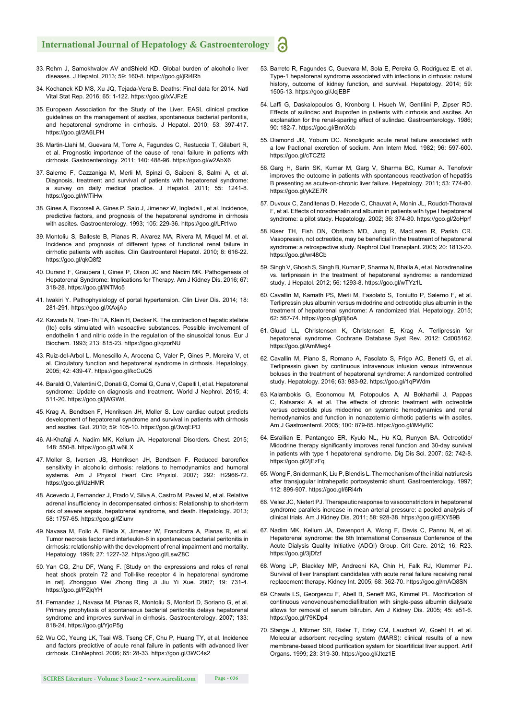- 33. Rehm J, Samokhvalov AV andShield KD. Global burden of alcoholic liver diseases. J Hepatol. 2013; 59: 160-8. https://goo.gl/jRi4Rh
- 34. Kochanek KD MS, Xu JQ, Tejada-Vera B. Deaths: Final data for 2014. Natl Vital Stat Rep. 2016; 65: 1-122. https://goo.gl/xVJFzE
- 35. European Association for the Study of the Liver. EASL clinical practice guidelines on the management of ascites, spontaneous bacterial peritonitis, and hepatorenal syndrome in cirrhosis. J Hepatol. 2010; 53: 397-417. https://goo.gl/2A6LPH
- 36. Martin-Llahi M, Guevara M, Torre A, Fagundes C, Restuccia T, Gilabert R, et al. Prognostic importance of the cause of renal failure in patients with cirrhosis. Gastroenterology. 2011; 140: 488-96. https://goo.gl/w2AbX6
- 37. Salerno F, Cazzaniga M, Merli M, Spinzi G, Saibeni S, Salmi A, et al. Diagnosis, treatment and survival of patients with hepatorenal syndrome: a survey on daily medical practice. J Hepatol. 2011; 55: 1241-8. https://goo.gl/rMTiHw
- 38. Gines A, Escorsell A, Gines P, Salo J, Jimenez W, Inglada L, et al. Incidence, predictive factors, and prognosis of the hepatorenal syndrome in cirrhosis with ascites. Gastroenterology. 1993; 105: 229-36. https://goo.gl/LFt1wo
- 39. Montoliu S, Balleste B, Planas R, Alvarez MA, Rivera M, Miquel M, et al. Incidence and prognosis of different types of functional renal failure in cirrhotic patients with ascites. Clin Gastroenterol Hepatol. 2010; 8: 616-22. https://goo.gl/qkQ8f2
- 40. Durand F, Graupera I, Gines P, Olson JC and Nadim MK. Pathogenesis of Hepatorenal Syndrome: Implications for Therapy. Am J Kidney Dis. 2016; 67: 318-28. https://goo.gl/iNTMo5
- 41. Iwakiri Y. Pathophysiology of portal hypertension. Clin Liver Dis. 2014; 18: 281-291. https://goo.gl/XAxjAp
- 42. Kawada N, Tran-Thi TA, Klein H, Decker K. The contraction of hepatic stellate (Ito) cells stimulated with vasoactive substances. Possible involvement of endothelin 1 and nitric oxide in the regulation of the sinusoidal tonus. Eur J Biochem. 1993; 213: 815-23. https://goo.gl/qzorNU
- 43. Ruiz-del-Arbol L, Monescillo A, Arocena C, Valer P, Gines P, Moreira V, et al. Circulatory function and hepatorenal syndrome in cirrhosis. Hepatology. 2005; 42: 439-47. https://goo.gl/kcCuQ5
- 44. Baraldi O, Valentini C, Donati G, Comai G, Cuna V, Capelli I, et al. Hepatorenal syndrome: Update on diagnosis and treatment. World J Nephrol. 2015; 4: 511-20. https://goo.gl/jWGWrL
- 45. Krag A, Bendtsen F, Henriksen JH, Moller S. Low cardiac output predicts development of hepatorenal syndrome and survival in patients with cirrhosis and ascites. Gut. 2010; 59: 105-10. https://goo.gl/3wqEPD
- 46. Al-Khafaji A, Nadim MK, Kellum JA. Hepatorenal Disorders. Chest. 2015; 148: 550-8. https://goo.gl/Lw6iLX
- 47. Moller S, Iversen JS, Henriksen JH, Bendtsen F. Reduced baroreflex sensitivity in alcoholic cirrhosis: relations to hemodynamics and humoral systems. Am J Physiol Heart Circ Physiol. 2007; 292: H2966-72. https://goo.gl/iUzHMR
- 48. Acevedo J, Fernandez J, Prado V, Silva A, Castro M, Pavesi M, et al. Relative adrenal insufficiency in decompensated cirrhosis: Relationship to short-term risk of severe sepsis, hepatorenal syndrome, and death. Hepatology. 2013; 58: 1757-65. https://goo.gl/fZiunv
- 49. Navasa M, Follo A, Filella X, Jimenez W, Francitorra A, Planas R, et al. Tumor necrosis factor and interleukin-6 in spontaneous bacterial peritonitis in cirrhosis: relationship with the development of renal impairment and mortality. Hepatology. 1998; 27: 1227-32. https://goo.gl/LswZ8C
- 50. Yan CG, Zhu DF, Wang F. [Study on the expressions and roles of renal heat shock protein 72 and Toll-like receptor 4 in hepatorenal syndrome in rat]. Zhongguo Wei Zhong Bing Ji Jiu Yi Xue. 2007; 19: 731-4. https://goo.gl/PZjqYH
- 51. Fernandez J, Navasa M, Planas R, Montoliu S, Monfort D, Soriano G, et al. Primary prophylaxis of spontaneous bacterial peritonitis delays hepatorenal syndrome and improves survival in cirrhosis. Gastroenterology. 2007; 133: 818-24. https://goo.gl/YjoP5g
- 52. Wu CC, Yeung LK, Tsai WS, Tseng CF, Chu P, Huang TY, et al. Incidence and factors predictive of acute renal failure in patients with advanced liver cirrhosis. ClinNephrol. 2006; 65: 28-33. https://goo.gl/3WC4s2
- 53. Barreto R, Fagundes C, Guevara M, Sola E, Pereira G, Rodriguez E, et al. Type-1 hepatorenal syndrome associated with infections in cirrhosis: natural history, outcome of kidney function, and survival. Hepatology. 2014; 59: 1505-13. https://goo.gl/JcjEBF
- 54. Laffi G, Daskalopoulos G, Kronborg I, Hsueh W, Gentilini P, Zipser RD. Effects of sulindac and ibuprofen in patients with cirrhosis and ascites. An explanation for the renal-sparing effect of sulindac. Gastroenterology. 1986; 90: 182-7. https://goo.gl/BnnXcb
- 55. Diamond JR, Yoburn DC. Nonoliguric acute renal failure associated with a low fractional excretion of sodium. Ann Intern Med. 1982; 96: 597-600. https://goo.gl/cTCZf2
- 56. Garg H, Sarin SK, Kumar M, Garg V, Sharma BC, Kumar A. Tenofovir improves the outcome in patients with spontaneous reactivation of hepatitis B presenting as acute-on-chronic liver failure. Hepatology. 2011; 53: 774-80. https://goo.gl/ykZE7R
- 57. Duvoux C, Zanditenas D, Hezode C, Chauvat A, Monin JL, Roudot-Thoraval F, et al. Effects of noradrenalin and albumin in patients with type I hepatorenal syndrome: a pilot study. Hepatology. 2002; 36: 374-80. https://goo.gl/2oHprf
- 58. Kiser TH, Fish DN, Obritsch MD, Jung R, MacLaren R, Parikh CR. Vasopressin, not octreotide, may be beneficial in the treatment of hepatorenal syndrome: a retrospective study. Nephrol Dial Transplant. 2005; 20: 1813-20. https://goo.gl/wr48Cb
- 59. Singh V, Ghosh S, Singh B, Kumar P, Sharma N, Bhalla A, et al. Noradrenaline vs. terlipressin in the treatment of hepatorenal syndrome: a randomized study. J Hepatol. 2012; 56: 1293-8. https://goo.gl/wTYz1L
- 60. Cavallin M, Kamath PS, Merli M, Fasolato S, Toniutto P, Salerno F, et al. Terlipressin plus albumin versus midodrine and octreotide plus albumin in the treatment of hepatorenal syndrome: A randomized trial. Hepatology. 2015; 62: 567-74. https://goo.gl/gBj8oA
- 61. Gluud LL, Christensen K, Christensen E, Krag A. Terlipressin for hepatorenal syndrome. Cochrane Database Syst Rev. 2012: Cd005162. https://goo.gl/AmMwg4
- 62. Cavallin M, Piano S, Romano A, Fasolato S, Frigo AC, Benetti G, et al. Terlipressin given by continuous intravenous infusion versus intravenous boluses in the treatment of hepatorenal syndrome: A randomized controlled study. Hepatology. 2016; 63: 983-92. https://goo.gl/1qPWdm
- 63. Kalambokis G, Economou M, Fotopoulos A, Al Bokharhii J, Pappas C, Katsaraki A, et al. The effects of chronic treatment with octreotide versus octreotide plus midodrine on systemic hemodynamics and renal hemodynamics and function in nonazotemic cirrhotic patients with ascites. Am J Gastroenterol. 2005; 100: 879-85. https://goo.gl/iM4yBC
- 64. Esrailian E, Pantangco ER, Kyulo NL, Hu KQ, Runyon BA. Octreotide/ Midodrine therapy significantly improves renal function and 30-day survival in patients with type 1 hepatorenal syndrome. Dig Dis Sci. 2007; 52: 742-8. https://goo.gl/2jEzFq
- 65. Wong F, Sniderman K, Liu P, Blendis L. The mechanism of the initial natriuresis after transjugular intrahepatic portosystemic shunt. Gastroenterology. 1997; 112: 899-907. https://goo.gl/6Ri4rh
- 66. Velez JC, Nietert PJ. Therapeutic response to vasoconstrictors in hepatorenal syndrome parallels increase in mean arterial pressure: a pooled analysis of clinical trials. Am J Kidney Dis. 2011; 58: 928-38. https://goo.gl/EXY59B
- 67. Nadim MK, Kellum JA, Davenport A, Wong F, Davis C, Pannu N, et al. Hepatorenal syndrome: the 8th International Consensus Conference of the Acute Dialysis Quality Initiative (ADQI) Group. Crit Care. 2012; 16: R23. https://goo.gl/3jDfzf
- 68. Wong LP, Blackley MP, Andreoni KA, Chin H, Falk RJ, Klemmer PJ. Survival of liver transplant candidates with acute renal failure receiving renal replacement therapy. Kidney Int. 2005; 68: 362-70. https://goo.gl/mAQ8SN
- 69. Chawla LS, Georgescu F, Abell B, Seneff MG, Kimmel PL. Modification of continuous venovenoushemodiafiltration with single-pass albumin dialysate allows for removal of serum bilirubin. Am J Kidney Dis. 2005; 45: e51-6. https://goo.gl/79KDp4
- 70. Stange J, Mitzner SR, Risler T, Erley CM, Lauchart W, Goehl H, et al. Molecular adsorbent recycling system (MARS): clinical results of a new membrane-based blood purification system for bioartificial liver support. Artif Organs. 1999; 23: 319-30. https://goo.gl/Jtcz1E